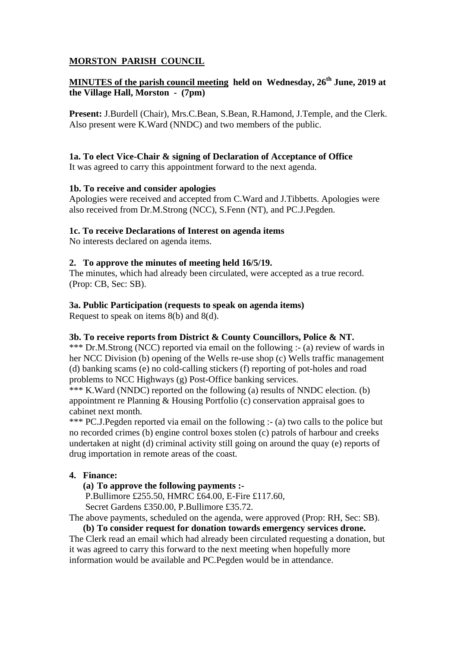# **MORSTON PARISH COUNCIL**

# **MINUTES of the parish council meeting held on Wednesday, 26th June, 2019 at the Village Hall, Morston - (7pm)**

**Present:** J.Burdell (Chair), Mrs.C.Bean, S.Bean, R.Hamond, J.Temple, and the Clerk. Also present were K.Ward (NNDC) and two members of the public.

## **1a. To elect Vice-Chair & signing of Declaration of Acceptance of Office**

It was agreed to carry this appointment forward to the next agenda.

### **1b. To receive and consider apologies**

Apologies were received and accepted from C.Ward and J.Tibbetts. Apologies were also received from Dr.M.Strong (NCC), S.Fenn (NT), and PC.J.Pegden.

### **1c. To receive Declarations of Interest on agenda items**

No interests declared on agenda items.

### **2. To approve the minutes of meeting held 16/5/19.**

The minutes, which had already been circulated, were accepted as a true record. (Prop: CB, Sec: SB).

### **3a. Public Participation (requests to speak on agenda items)**

Request to speak on items 8(b) and 8(d).

#### **3b. To receive reports from District & County Councillors, Police & NT.**

\*\*\* Dr.M.Strong (NCC) reported via email on the following :- (a) review of wards in her NCC Division (b) opening of the Wells re-use shop (c) Wells traffic management (d) banking scams (e) no cold-calling stickers (f) reporting of pot-holes and road problems to NCC Highways (g) Post-Office banking services.

\*\*\* K.Ward (NNDC) reported on the following (a) results of NNDC election. (b) appointment re Planning & Housing Portfolio (c) conservation appraisal goes to cabinet next month.

\*\*\* PC.J.Pegden reported via email on the following :- (a) two calls to the police but no recorded crimes (b) engine control boxes stolen (c) patrols of harbour and creeks undertaken at night (d) criminal activity still going on around the quay (e) reports of drug importation in remote areas of the coast.

# **4. Finance:**

**(a) To approve the following payments :-**

P.Bullimore £255.50, HMRC £64.00, E-Fire £117.60,

Secret Gardens £350.00, P.Bullimore £35.72.

The above payments, scheduled on the agenda, were approved (Prop: RH, Sec: SB).

**(b) To consider request for donation towards emergency services drone.** The Clerk read an email which had already been circulated requesting a donation, but it was agreed to carry this forward to the next meeting when hopefully more information would be available and PC.Pegden would be in attendance.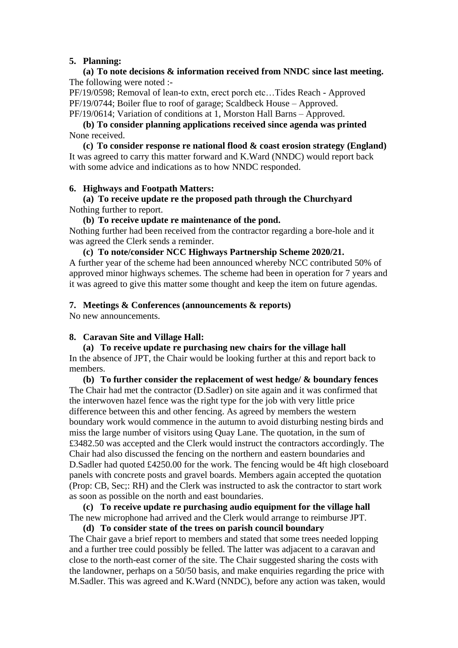### **5. Planning:**

**(a) To note decisions & information received from NNDC since last meeting.** The following were noted :-

PF/19/0598; Removal of lean-to extn, erect porch etc…Tides Reach - Approved PF/19/0744; Boiler flue to roof of garage; Scaldbeck House – Approved. PF/19/0614; Variation of conditions at 1, Morston Hall Barns – Approved.

**(b) To consider planning applications received since agenda was printed** None received.

**(c) To consider response re national flood & coast erosion strategy (England)** It was agreed to carry this matter forward and K.Ward (NNDC) would report back with some advice and indications as to how NNDC responded.

#### **6. Highways and Footpath Matters:**

**(a) To receive update re the proposed path through the Churchyard** Nothing further to report.

**(b) To receive update re maintenance of the pond.**

Nothing further had been received from the contractor regarding a bore-hole and it was agreed the Clerk sends a reminder.

**(c) To note/consider NCC Highways Partnership Scheme 2020/21.**

A further year of the scheme had been announced whereby NCC contributed 50% of approved minor highways schemes. The scheme had been in operation for 7 years and it was agreed to give this matter some thought and keep the item on future agendas.

#### **7. Meetings & Conferences (announcements & reports)**

No new announcements.

#### **8. Caravan Site and Village Hall:**

**(a) To receive update re purchasing new chairs for the village hall** In the absence of JPT, the Chair would be looking further at this and report back to members.

**(b) To further consider the replacement of west hedge/ & boundary fences** The Chair had met the contractor (D.Sadler) on site again and it was confirmed that the interwoven hazel fence was the right type for the job with very little price difference between this and other fencing. As agreed by members the western boundary work would commence in the autumn to avoid disturbing nesting birds and miss the large number of visitors using Quay Lane. The quotation, in the sum of £3482.50 was accepted and the Clerk would instruct the contractors accordingly. The Chair had also discussed the fencing on the northern and eastern boundaries and D.Sadler had quoted £4250.00 for the work. The fencing would be 4ft high closeboard panels with concrete posts and gravel boards. Members again accepted the quotation (Prop: CB, Sec;: RH) and the Clerk was instructed to ask the contractor to start work as soon as possible on the north and east boundaries.

**(c) To receive update re purchasing audio equipment for the village hall** The new microphone had arrived and the Clerk would arrange to reimburse JPT.

**(d) To consider state of the trees on parish council boundary** The Chair gave a brief report to members and stated that some trees needed lopping and a further tree could possibly be felled. The latter was adjacent to a caravan and close to the north-east corner of the site. The Chair suggested sharing the costs with the landowner, perhaps on a 50/50 basis, and make enquiries regarding the price with M.Sadler. This was agreed and K.Ward (NNDC), before any action was taken, would